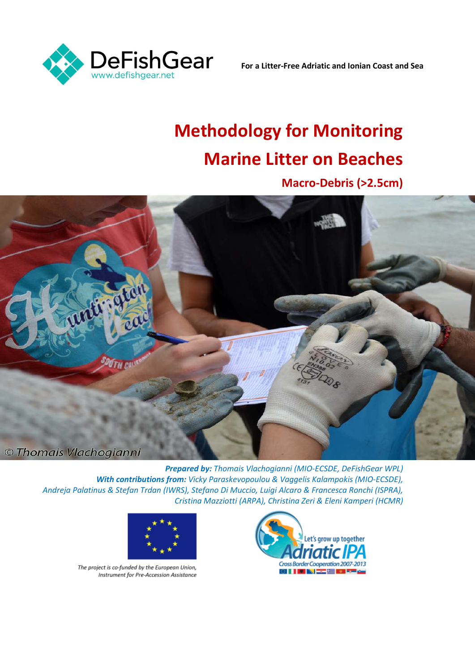

**For a Litter-Free Adriatic and Ionian Coast and Sea**

# **Methodology for Monitoring Marine Litter on Beaches**

**Macro-Debris (>2.5cm)**



*Prepared by: Thomais Vlachogianni (MIO-ECSDE, DeFishGear WPL) With contributions from: Vicky Paraskevopoulou & Vaggelis Kalampokis (MIO-ECSDE), Andreja Palatinus & Stefan Trdan (IWRS), Stefano Di Muccio, Luigi Alcaro & Francesca Ronchi (ISPRA), Cristina Mazziotti (ARPA), Christina Zeri & Eleni Kamperi (HCMR)*



The project is co-funded by the European Union, Instrument for Pre-Accession Assistance

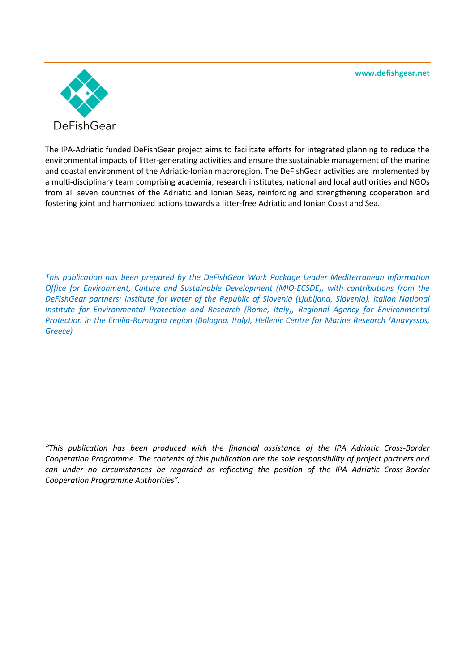**www.defishgear.net**



The IPA-Adriatic funded DeFishGear project aims to facilitate efforts for integrated planning to reduce the environmental impacts of litter-generating activities and ensure the sustainable management of the marine and coastal environment of the Adriatic-Ionian macroregion. The DeFishGear activities are implemented by a multi-disciplinary team comprising academia, research institutes, national and local authorities and NGOs from all seven countries of the Adriatic and Ionian Seas, reinforcing and strengthening cooperation and fostering joint and harmonized actions towards a litter-free Adriatic and Ionian Coast and Sea.

*This publication has been prepared by the DeFishGear Work Package Leader Mediterranean Information Office for Environment, Culture and Sustainable Development (MIO-ECSDE), with contributions from the DeFishGear partners: Institute for water of the Republic of Slovenia (Ljubljana, Slovenia), Italian National Institute for Environmental Protection and Research (Rome, Italy), Regional Agency for Environmental Protection in the Emilia-Romagna region (Bologna, Italy), Hellenic Centre for Marine Research (Anavyssos, Greece)*

*"This publication has been produced with the financial assistance of the IPA Adriatic Cross-Border Cooperation Programme. The contents of this publication are the sole responsibility of project partners and can under no circumstances be regarded as reflecting the position of the IPA Adriatic Cross-Border Cooperation Programme Authorities".*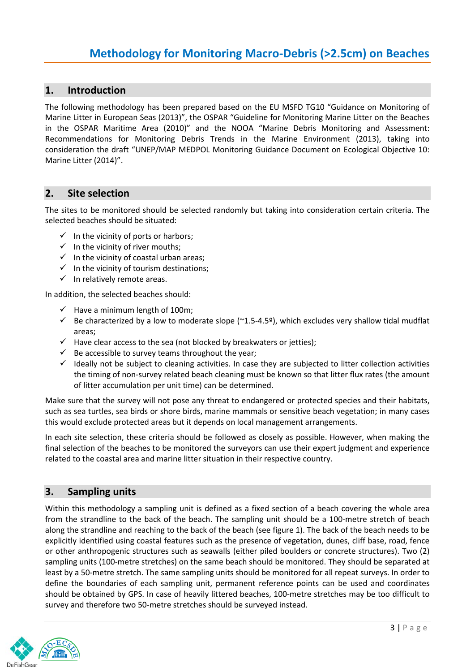#### **1. Introduction**

The following methodology has been prepared based on the EU MSFD TG10 "Guidance on Monitoring of Marine Litter in European Seas (2013)", the OSPAR "Guideline for Monitoring Marine Litter on the Beaches in the OSPAR Maritime Area (2010)" and the NOOA "Marine Debris Monitoring and Assessment: Recommendations for Monitoring Debris Trends in the Marine Environment (2013), taking into consideration the draft "UNEP/MAP MEDPOL Monitoring Guidance Document on Ecological Objective 10: Marine Litter (2014)".

#### **2. Site selection**

The sites to be monitored should be selected randomly but taking into consideration certain criteria. The selected beaches should be situated:

- $\checkmark$  In the vicinity of ports or harbors;
- $\checkmark$  In the vicinity of river mouths;
- $\checkmark$  In the vicinity of coastal urban areas;
- $\checkmark$  In the vicinity of tourism destinations;
- $\checkmark$  In relatively remote areas.

In addition, the selected beaches should:

- $\checkmark$  Have a minimum length of 100m;
- $\checkmark$  Be characterized by a low to moderate slope (~1.5-4.5º), which excludes very shallow tidal mudflat areas;
- $\checkmark$  Have clear access to the sea (not blocked by breakwaters or jetties);
- $\checkmark$  Be accessible to survey teams throughout the year;
- $\checkmark$  Ideally not be subject to cleaning activities. In case they are subjected to litter collection activities the timing of non-survey related beach cleaning must be known so that litter flux rates (the amount of litter accumulation per unit time) can be determined.

Make sure that the survey will not pose any threat to endangered or protected species and their habitats, such as sea turtles, sea birds or shore birds, marine mammals or sensitive beach vegetation; in many cases this would exclude protected areas but it depends on local management arrangements.

In each site selection, these criteria should be followed as closely as possible. However, when making the final selection of the beaches to be monitored the surveyors can use their expert judgment and experience related to the coastal area and marine litter situation in their respective country.

#### **3. Sampling units**

Within this methodology a sampling unit is defined as a fixed section of a beach covering the whole area from the strandline to the back of the beach. The sampling unit should be a 100-metre stretch of beach along the strandline and reaching to the back of the beach (see figure 1). The back of the beach needs to be explicitly identified using coastal features such as the presence of vegetation, dunes, cliff base, road, fence or other anthropogenic structures such as seawalls (either piled boulders or concrete structures). Two (2) sampling units (100-metre stretches) on the same beach should be monitored. They should be separated at least by a 50-metre stretch. The same sampling units should be monitored for all repeat surveys. In order to define the boundaries of each sampling unit, permanent reference points can be used and coordinates should be obtained by GPS. In case of heavily littered beaches, 100-metre stretches may be too difficult to survey and therefore two 50-metre stretches should be surveyed instead.

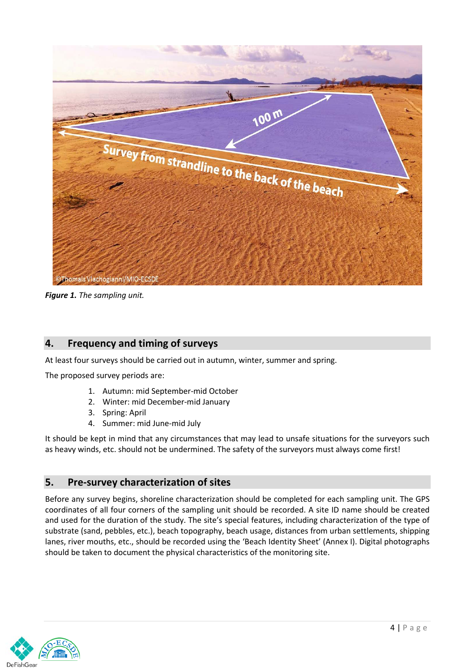

*Figure 1. The sampling unit.* 

### **4. Frequency and timing of surveys**

At least four surveys should be carried out in autumn, winter, summer and spring.

The proposed survey periods are:

- 1. Autumn: mid September-mid October
- 2. Winter: mid December-mid January
- 3. Spring: April
- 4. Summer: mid June-mid July

It should be kept in mind that any circumstances that may lead to unsafe situations for the surveyors such as heavy winds, etc. should not be undermined. The safety of the surveyors must always come first!

#### **5. Pre-survey characterization of sites**

Before any survey begins, shoreline characterization should be completed for each sampling unit. The GPS coordinates of all four corners of the sampling unit should be recorded. A site ID name should be created and used for the duration of the study. The site's special features, including characterization of the type of substrate (sand, pebbles, etc.), beach topography, beach usage, distances from urban settlements, shipping lanes, river mouths, etc., should be recorded using the 'Beach Identity Sheet' (Annex I). Digital photographs should be taken to document the physical characteristics of the monitoring site.

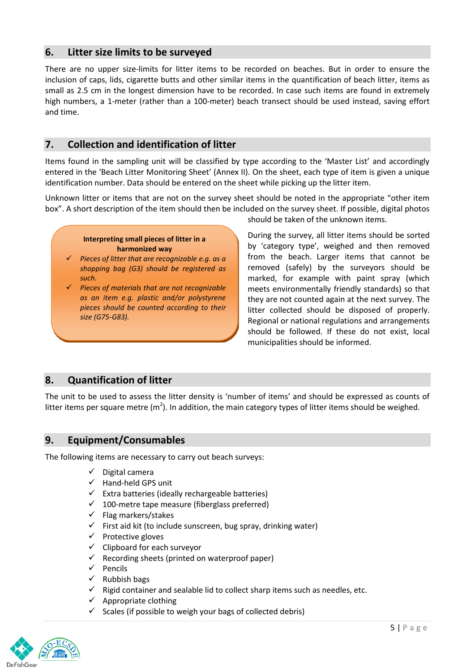#### **6. Litter size limits to be surveyed**

There are no upper size-limits for litter items to be recorded on beaches. But in order to ensure the inclusion of caps, lids, cigarette butts and other similar items in the quantification of beach litter, items as small as 2.5 cm in the longest dimension have to be recorded. In case such items are found in extremely high numbers, a 1-meter (rather than a 100-meter) beach transect should be used instead, saving effort and time.

#### **7. Collection and identification of litter**

Items found in the sampling unit will be classified by type according to the 'Master List' and accordingly entered in the 'Beach Litter Monitoring Sheet' (Annex II). On the sheet, each type of item is given a unique identification number. Data should be entered on the sheet while picking up the litter item.

Unknown litter or items that are not on the survey sheet should be noted in the appropriate "other item box". A short description of the item should then be included on the survey sheet. If possible, digital photos

#### **Interpreting small pieces of litter in a harmonized way**

- *Pieces of litter that are recognizable e.g. as a shopping bag (G3) should be registered as such.*
- *Pieces of materials that are not recognizable as an item e.g. plastic and/or polystyrene pieces should be counted according to their size (G75-G83).*

should be taken of the unknown items.

During the survey, all litter items should be sorted by 'category type', weighed and then removed from the beach. Larger items that cannot be removed (safely) by the surveyors should be marked, for example with paint spray (which meets environmentally friendly standards) so that they are not counted again at the next survey. The litter collected should be disposed of properly. Regional or national regulations and arrangements should be followed. If these do not exist, local municipalities should be informed.

#### **8. Quantification of litter**

The unit to be used to assess the litter density is 'number of items' and should be expressed as counts of litter items per square metre (m<sup>2</sup>). In addition, the main category types of litter items should be weighed.

#### **9. Equipment/Consumables**

The following items are necessary to carry out beach surveys:

- $\checkmark$  Digital camera
- $\checkmark$  Hand-held GPS unit
- $\checkmark$  Extra batteries (ideally rechargeable batteries)
- $\checkmark$  100-metre tape measure (fiberglass preferred)
- $\checkmark$  Flag markers/stakes
- $\checkmark$  First aid kit (to include sunscreen, bug spray, drinking water)
- $\checkmark$  Protective gloves
- $\checkmark$  Clipboard for each surveyor
- $\checkmark$  Recording sheets (printed on waterproof paper)
- $\checkmark$  Pencils
- $\checkmark$  Rubbish bags
- $\checkmark$  Rigid container and sealable lid to collect sharp items such as needles, etc.
- $\checkmark$  Appropriate clothing
- $\checkmark$  Scales (if possible to weigh your bags of collected debris)

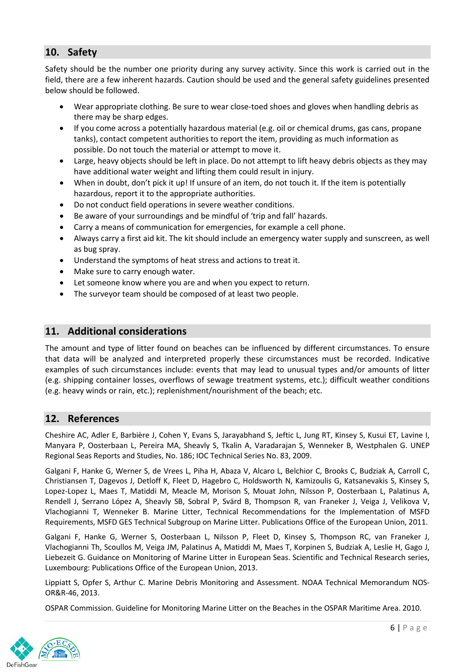### **10. Safety**

Safety should be the number one priority during any survey activity. Since this work is carried out in the field, there are a few inherent hazards. Caution should be used and the general safety guidelines presented below should be followed.

- Wear appropriate clothing. Be sure to wear close-toed shoes and gloves when handling debris as there may be sharp edges.
- If you come across a potentially hazardous material (e.g. oil or chemical drums, gas cans, propane tanks), contact competent authorities to report the item, providing as much information as possible. Do not touch the material or attempt to move it.
- Large, heavy objects should be left in place. Do not attempt to lift heavy debris objects as they may have additional water weight and lifting them could result in injury.
- When in doubt, don't pick it up! If unsure of an item, do not touch it. If the item is potentially hazardous, report it to the appropriate authorities.
- Do not conduct field operations in severe weather conditions.
- Be aware of your surroundings and be mindful of 'trip and fall' hazards.
- Carry a means of communication for emergencies, for example a cell phone.
- Always carry a first aid kit. The kit should include an emergency water supply and sunscreen, as well as bug spray.
- Understand the symptoms of heat stress and actions to treat it.
- Make sure to carry enough water.
- Let someone know where you are and when you expect to return.
- The surveyor team should be composed of at least two people.

#### **11. Additional considerations**

The amount and type of litter found on beaches can be influenced by different circumstances. To ensure that data will be analyzed and interpreted properly these circumstances must be recorded. Indicative examples of such circumstances include: events that may lead to unusual types and/or amounts of litter (e.g. shipping container losses, overflows of sewage treatment systems, etc.); difficult weather conditions (e.g. heavy winds or rain, etc.); replenishment/nourishment of the beach; etc.

#### **12. References**

Cheshire AC, Adler E, Barbière J, Cohen Y, Evans S, Jarayabhand S, Jeftic L, Jung RT, Kinsey S, Kusui ET, Lavine I, Manyara P, Oosterbaan L, Pereira MA, Sheavly S, Tkalin A, Varadarajan S, Wenneker B, Westphalen G. UNEP Regional Seas Reports and Studies, No. 186; IOC Technical Series No. 83, 2009.

Galgani F, Hanke G, Werner S, de Vrees L, Piha H, Abaza V, Alcaro L, Belchior C, Brooks C, Budziak A, Carroll C, Christiansen T, Dagevos J, Detloff K, Fleet D, Hagebro C, Holdsworth N, Kamizoulis G, Katsanevakis S, Kinsey S, Lopez-Lopez L, Maes T, Matiddi M, Meacle M, Morison S, Mouat John, Nilsson P, Oosterbaan L, Palatinus A, Rendell J, Serrano López A, Sheavly SB, Sobral P, Svärd B, Thompson R, van Franeker J, Veiga J, Velikova V, Vlachogianni T, Wenneker B. Marine Litter, Technical Recommendations for the Implementation of MSFD Requirements, MSFD GES Technical Subgroup on Marine Litter. Publications Office of the European Union, 2011.

Galgani F, Hanke G, Werner S, Oosterbaan L, Nilsson P, Fleet D, Kinsey S, Thompson RC, van Franeker J, Vlachogianni Th, Scoullos M, Veiga JM, Palatinus A, Matiddi M, Maes T, Korpinen S, Budziak A, Leslie H, Gago J, Liebezeit G. Guidance on Monitoring of Marine Litter in European Seas. Scientific and Technical Research series, Luxembourg: Publications Office of the European Union, 2013.

Lippiatt S, Opfer S, Arthur C. Marine Debris Monitoring and Assessment. NOAA Technical Memorandum NOS-OR&R-46, 2013.

OSPAR Commission. Guideline for Monitoring Marine Litter on the Beaches in the OSPAR Maritime Area. 2010.

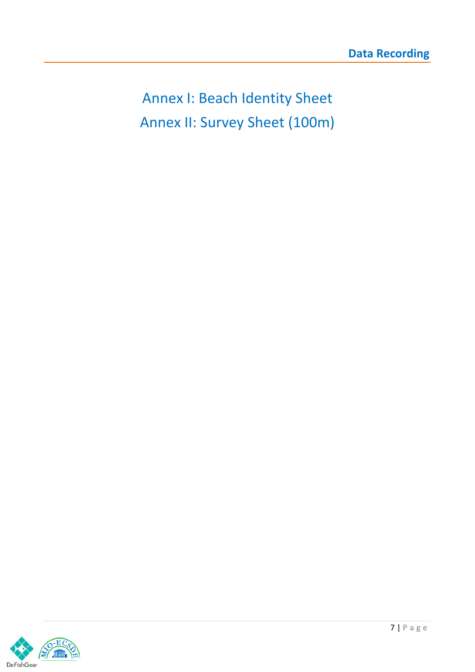Annex I: Beach Identity Sheet Annex II: Survey Sheet (100m)

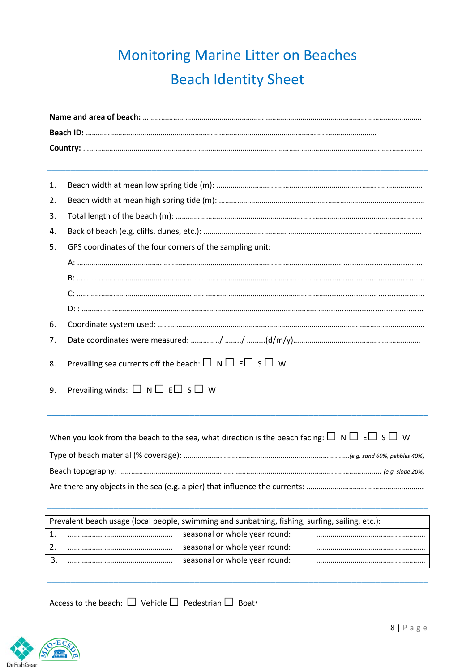## Monitoring Marine Litter on Beaches Beach Identity Sheet

| 1. |                                                                                                                 |  |  |  |  |
|----|-----------------------------------------------------------------------------------------------------------------|--|--|--|--|
| 2. |                                                                                                                 |  |  |  |  |
| 3. |                                                                                                                 |  |  |  |  |
| 4. |                                                                                                                 |  |  |  |  |
| 5. | GPS coordinates of the four corners of the sampling unit:                                                       |  |  |  |  |
|    |                                                                                                                 |  |  |  |  |
|    |                                                                                                                 |  |  |  |  |
|    |                                                                                                                 |  |  |  |  |
|    |                                                                                                                 |  |  |  |  |
| 6. |                                                                                                                 |  |  |  |  |
| 7. |                                                                                                                 |  |  |  |  |
| 8. | Prevailing sea currents off the beach: $\square$ N $\square$ E $\square$ S $\square$ W                          |  |  |  |  |
| 9. | Prevailing winds: $\square$ N $\square$ E $\square$ S $\square$ W                                               |  |  |  |  |
|    |                                                                                                                 |  |  |  |  |
|    |                                                                                                                 |  |  |  |  |
|    | When you look from the beach to the sea, what direction is the beach facing: $\Box \cap \Box \in \Box S \Box W$ |  |  |  |  |
|    |                                                                                                                 |  |  |  |  |
|    |                                                                                                                 |  |  |  |  |

Are there any objects in the sea (e.g. a pier) that influence the currents: …………………………………………………………………………………………

\_\_\_\_\_\_\_\_\_\_\_\_\_\_\_\_\_\_\_\_\_\_\_\_\_\_\_\_\_\_\_\_\_\_\_\_\_\_\_\_\_\_\_\_\_\_\_\_\_\_\_\_\_\_\_\_\_\_\_\_\_\_\_\_\_\_\_\_\_\_\_\_\_\_\_\_\_\_\_\_

| Prevalent beach usage (local people, swimming and sunbathing, fishing, surfing, sailing, etc.): |                               |  |  |  |
|-------------------------------------------------------------------------------------------------|-------------------------------|--|--|--|
|                                                                                                 | seasonal or whole year round: |  |  |  |
|                                                                                                 | seasonal or whole year round: |  |  |  |
|                                                                                                 | seasonal or whole year round: |  |  |  |

\_\_\_\_\_\_\_\_\_\_\_\_\_\_\_\_\_\_\_\_\_\_\_\_\_\_\_\_\_\_\_\_\_\_\_\_\_\_\_\_\_\_\_\_\_\_\_\_\_\_\_\_\_\_\_\_\_\_\_\_\_\_\_\_\_\_\_\_\_\_\_\_\_\_\_\_\_\_\_\_

Access to the beach: *□* Vehicle *□* Pedestrian*□* Boat\*

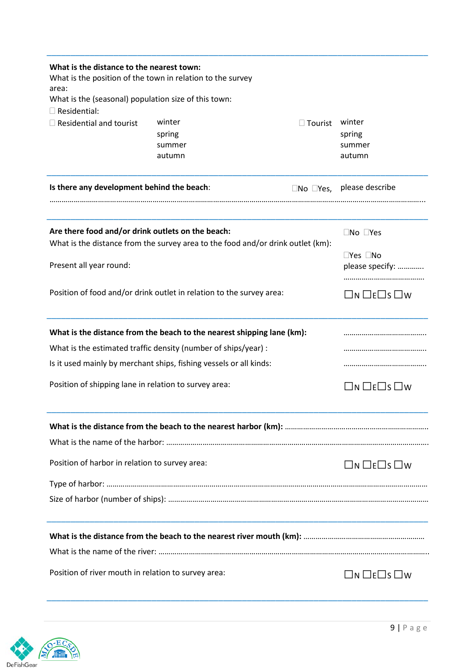| What is the distance to the nearest town:<br>What is the position of the town in relation to the survey<br>area:                     |                                      |                             |                                                   |
|--------------------------------------------------------------------------------------------------------------------------------------|--------------------------------------|-----------------------------|---------------------------------------------------|
| What is the (seasonal) population size of this town:<br>$\square$ Residential:                                                       |                                      |                             |                                                   |
| $\Box$ Residential and tourist                                                                                                       | winter<br>spring<br>summer<br>autumn | $\Box$ Tourist              | winter<br>spring<br>summer<br>autumn              |
| Is there any development behind the beach:                                                                                           |                                      | $\square$ No $\square$ Yes, | please describe                                   |
| Are there food and/or drink outlets on the beach:<br>What is the distance from the survey area to the food and/or drink outlet (km): |                                      |                             | $\square$ No $\square$ Yes                        |
| Present all year round:                                                                                                              |                                      |                             | $\square$ Yes $\square$ No<br>please specify:<br> |
| Position of food and/or drink outlet in relation to the survey area:                                                                 |                                      |                             | $\square$ n $\square$ e $\square$ s $\square$ w   |
| What is the distance from the beach to the nearest shipping lane (km):                                                               |                                      |                             |                                                   |
| What is the estimated traffic density (number of ships/year) :                                                                       |                                      |                             |                                                   |
| Is it used mainly by merchant ships, fishing vessels or all kinds:                                                                   |                                      |                             |                                                   |
| Position of shipping lane in relation to survey area:                                                                                |                                      |                             | $\square$ n $\square$ e $\square$ s $\square$ w   |
|                                                                                                                                      |                                      |                             |                                                   |
|                                                                                                                                      |                                      |                             |                                                   |
| Position of harbor in relation to survey area:                                                                                       |                                      |                             | $\square$ n $\square$ e $\square$ s $\square$ w   |
|                                                                                                                                      |                                      |                             |                                                   |
|                                                                                                                                      |                                      |                             |                                                   |
|                                                                                                                                      |                                      |                             |                                                   |
|                                                                                                                                      |                                      |                             |                                                   |
| Position of river mouth in relation to survey area:                                                                                  |                                      |                             | $\square$ n $\square$ e $\square$ s $\square$ w   |

\_\_\_\_\_\_\_\_\_\_\_\_\_\_\_\_\_\_\_\_\_\_\_\_\_\_\_\_\_\_\_\_\_\_\_\_\_\_\_\_\_\_\_\_\_\_\_\_\_\_\_\_\_\_\_\_\_\_\_\_\_\_\_\_\_\_\_\_\_\_\_\_\_\_\_\_\_\_\_\_

\_\_\_\_\_\_\_\_\_\_\_\_\_\_\_\_\_\_\_\_\_\_\_\_\_\_\_\_\_\_\_\_\_\_\_\_\_\_\_\_\_\_\_\_\_\_\_\_\_\_\_\_\_\_\_\_\_\_\_\_\_\_\_\_\_\_\_\_\_\_\_\_\_\_\_\_\_\_\_\_

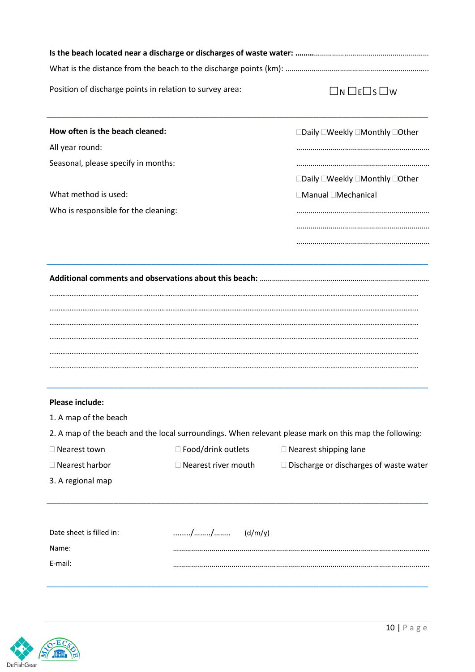| Position of discharge points in relation to survey area: |                               | $\Box$ N $\Box$ E $\Box$ S $\Box$ W                                                                    |
|----------------------------------------------------------|-------------------------------|--------------------------------------------------------------------------------------------------------|
| How often is the beach cleaned:                          |                               | □Daily □Weekly □Monthly □Other                                                                         |
| All year round:                                          |                               |                                                                                                        |
| Seasonal, please specify in months:                      |                               |                                                                                                        |
|                                                          |                               | □Daily □Weekly □Monthly □Other                                                                         |
| What method is used:                                     |                               | □Manual □Mechanical                                                                                    |
| Who is responsible for the cleaning:                     |                               |                                                                                                        |
|                                                          |                               |                                                                                                        |
|                                                          |                               |                                                                                                        |
|                                                          |                               |                                                                                                        |
| Please include:                                          |                               |                                                                                                        |
| 1. A map of the beach                                    |                               |                                                                                                        |
|                                                          |                               | 2. A map of the beach and the local surroundings. When relevant please mark on this map the following: |
| □ Nearest town                                           | □ Food/drink outlets          | $\Box$ Nearest shipping lane                                                                           |
| □ Nearest harbor                                         | $\square$ Nearest river mouth | $\Box$ Discharge or discharges of waste water                                                          |
| 3. A regional map                                        |                               |                                                                                                        |
| Date sheet is filled in:                                 | //<br>(d/m/y)                 |                                                                                                        |
| Name:                                                    |                               |                                                                                                        |

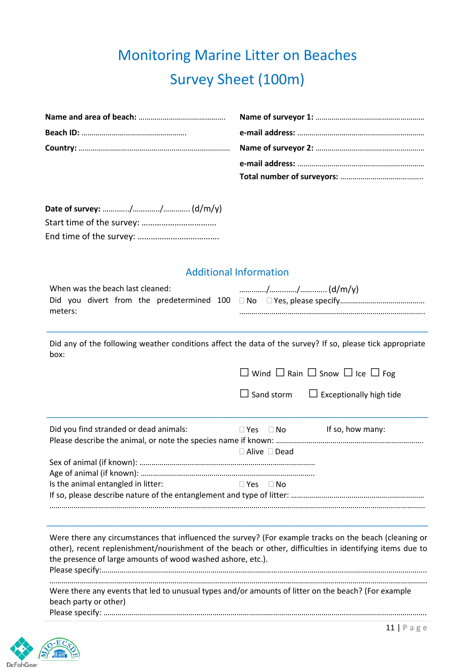### Monitoring Marine Litter on Beaches Survey Sheet (100m)

#### Additional Information

| When was the beach last cleaned: |  |  |  |  |  |  |  |
|----------------------------------|--|--|--|--|--|--|--|
|                                  |  |  |  |  |  |  |  |
| meters:                          |  |  |  |  |  |  |  |

Did any of the following weather conditions affect the data of the survey? If so, please tick appropriate box:

\_\_\_\_\_\_\_\_\_\_\_\_\_\_\_\_\_\_\_\_\_\_\_\_\_\_\_\_\_\_\_\_\_\_\_\_\_\_\_\_\_\_\_\_\_\_\_\_\_\_\_\_\_\_\_\_\_\_\_\_\_\_\_\_\_\_\_\_\_\_\_\_\_\_\_\_\_\_\_\_

|                                        | $\Box$ Wind $\Box$ Rain $\Box$ Snow $\Box$ Ice $\Box$ Fog |     |                                                  |  |
|----------------------------------------|-----------------------------------------------------------|-----|--------------------------------------------------|--|
|                                        |                                                           |     | $\Box$ Sand storm $\Box$ Exceptionally high tide |  |
| Did you find stranded or dead animals: | $\Box$ Yes $\Box$ No                                      |     | If so, how many:                                 |  |
|                                        | $\Box$ Alive $\Box$ Dead                                  |     |                                                  |  |
|                                        |                                                           |     |                                                  |  |
| Is the animal entangled in litter:     | <b>Yes</b>                                                | ∃No |                                                  |  |

If so, please describe nature of the entanglement and type of litter: ………………………………………………………… ……………………………………………………………………………………………………………………………………………………………………

\_\_\_\_\_\_\_\_\_\_\_\_\_\_\_\_\_\_\_\_\_\_\_\_\_\_\_\_\_\_\_\_\_\_\_\_\_\_\_\_\_\_\_\_\_\_\_\_\_\_\_\_\_\_\_\_\_\_\_\_\_\_\_\_\_\_\_\_\_\_\_\_\_\_\_\_\_\_\_\_

Were there any circumstances that influenced the survey? (For example tracks on the beach (cleaning or other), recent replenishment/nourishment of the beach or other, difficulties in identifying items due to the presence of large amounts of wood washed ashore, etc.). Please specify:……………………………………………………………………………………………………………………………………………..

……………………………………………………………………………………………………………………………………………………………………. Were there any events that led to unusual types and/or amounts of litter on the beach? (For example beach party or other) Please specify: …………………………………………………………………………………………………………………………………………….

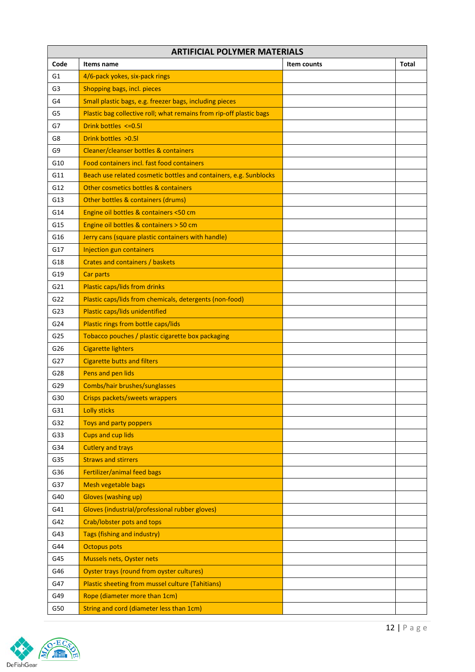|                | <b>ARTIFICIAL POLYMER MATERIALS</b>                                 |             |              |  |  |
|----------------|---------------------------------------------------------------------|-------------|--------------|--|--|
| Code           | Items name                                                          | Item counts | <b>Total</b> |  |  |
| G1             | 4/6-pack yokes, six-pack rings                                      |             |              |  |  |
| G <sub>3</sub> | Shopping bags, incl. pieces                                         |             |              |  |  |
| G4             | Small plastic bags, e.g. freezer bags, including pieces             |             |              |  |  |
| G5             | Plastic bag collective roll; what remains from rip-off plastic bags |             |              |  |  |
| G7             | Drink bottles <= 0.51                                               |             |              |  |  |
| G8             | Drink bottles > 0.51                                                |             |              |  |  |
| G9             | Cleaner/cleanser bottles & containers                               |             |              |  |  |
| G10            | Food containers incl. fast food containers                          |             |              |  |  |
| G11            | Beach use related cosmetic bottles and containers, e.g. Sunblocks   |             |              |  |  |
| G12            | Other cosmetics bottles & containers                                |             |              |  |  |
| G13            | Other bottles & containers (drums)                                  |             |              |  |  |
| G14            | Engine oil bottles & containers <50 cm                              |             |              |  |  |
| G15            | Engine oil bottles & containers > 50 cm                             |             |              |  |  |
| G16            | Jerry cans (square plastic containers with handle)                  |             |              |  |  |
| G17            | Injection gun containers                                            |             |              |  |  |
| G18            | Crates and containers / baskets                                     |             |              |  |  |
| G19            | <b>Car parts</b>                                                    |             |              |  |  |
| G21            | <b>Plastic caps/lids from drinks</b>                                |             |              |  |  |
| G22            | Plastic caps/lids from chemicals, detergents (non-food)             |             |              |  |  |
| G23            | Plastic caps/lids unidentified                                      |             |              |  |  |
| G24            | Plastic rings from bottle caps/lids                                 |             |              |  |  |
| G25            | Tobacco pouches / plastic cigarette box packaging                   |             |              |  |  |
| G26            | <b>Cigarette lighters</b>                                           |             |              |  |  |
| G27            | <b>Cigarette butts and filters</b>                                  |             |              |  |  |
| G28            | Pens and pen lids                                                   |             |              |  |  |
| G29            | Combs/hair brushes/sunglasses                                       |             |              |  |  |
| G30            | Crisps packets/sweets wrappers                                      |             |              |  |  |
| G31            | <b>Lolly sticks</b>                                                 |             |              |  |  |
| G32            | <b>Toys and party poppers</b>                                       |             |              |  |  |
| G33            | <b>Cups and cup lids</b>                                            |             |              |  |  |
| G34            | <b>Cutlery and trays</b>                                            |             |              |  |  |
| G35            | <b>Straws and stirrers</b>                                          |             |              |  |  |
| G36            | Fertilizer/animal feed bags                                         |             |              |  |  |
| G37            | Mesh vegetable bags                                                 |             |              |  |  |
| G40            | <b>Gloves (washing up)</b>                                          |             |              |  |  |
| G41            | Gloves (industrial/professional rubber gloves)                      |             |              |  |  |
| G42            | Crab/lobster pots and tops                                          |             |              |  |  |
| G43            | Tags (fishing and industry)                                         |             |              |  |  |
| G44            | <b>Octopus pots</b>                                                 |             |              |  |  |
| G45            | <b>Mussels nets, Oyster nets</b>                                    |             |              |  |  |
| G46            | Oyster trays (round from oyster cultures)                           |             |              |  |  |
| G47            | Plastic sheeting from mussel culture (Tahitians)                    |             |              |  |  |
| G49            | Rope (diameter more than 1cm)                                       |             |              |  |  |
| G50            | String and cord (diameter less than 1cm)                            |             |              |  |  |
|                |                                                                     |             |              |  |  |

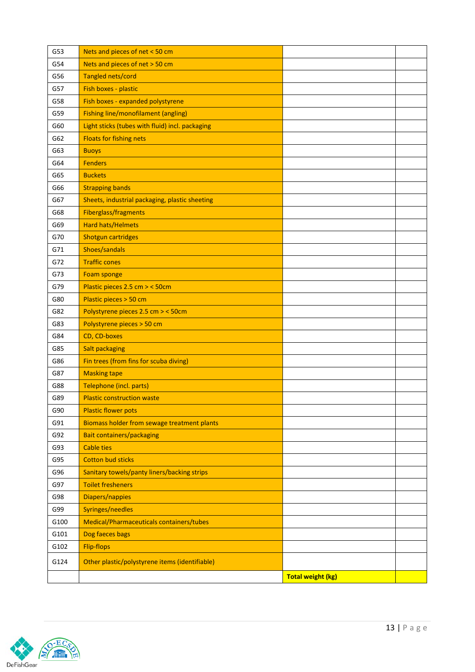| G53  | Nets and pieces of net < 50 cm                  |                          |  |
|------|-------------------------------------------------|--------------------------|--|
| G54  | Nets and pieces of net > 50 cm                  |                          |  |
| G56  | Tangled nets/cord                               |                          |  |
| G57  | Fish boxes - plastic                            |                          |  |
| G58  | Fish boxes - expanded polystyrene               |                          |  |
| G59  | <b>Fishing line/monofilament (angling)</b>      |                          |  |
| G60  | Light sticks (tubes with fluid) incl. packaging |                          |  |
| G62  | <b>Floats for fishing nets</b>                  |                          |  |
| G63  | <b>Buoys</b>                                    |                          |  |
| G64  | <b>Fenders</b>                                  |                          |  |
| G65  | <b>Buckets</b>                                  |                          |  |
| G66  | <b>Strapping bands</b>                          |                          |  |
| G67  | Sheets, industrial packaging, plastic sheeting  |                          |  |
| G68  | Fiberglass/fragments                            |                          |  |
| G69  | <b>Hard hats/Helmets</b>                        |                          |  |
| G70  | <b>Shotgun cartridges</b>                       |                          |  |
| G71  | Shoes/sandals                                   |                          |  |
| G72  | <b>Traffic cones</b>                            |                          |  |
| G73  | Foam sponge                                     |                          |  |
| G79  | Plastic pieces 2.5 cm > < 50cm                  |                          |  |
| G80  | Plastic pieces > 50 cm                          |                          |  |
| G82  | Polystyrene pieces 2.5 cm > < 50cm              |                          |  |
| G83  | Polystyrene pieces > 50 cm                      |                          |  |
| G84  | CD, CD-boxes                                    |                          |  |
| G85  | Salt packaging                                  |                          |  |
| G86  | Fin trees (from fins for scuba diving)          |                          |  |
| G87  | <b>Masking tape</b>                             |                          |  |
| G88  | Telephone (incl. parts)                         |                          |  |
| G89  | <b>Plastic construction waste</b>               |                          |  |
| G90  | <b>Plastic flower pots</b>                      |                          |  |
| G91  | Biomass holder from sewage treatment plants     |                          |  |
| G92  | <b>Bait containers/packaging</b>                |                          |  |
| G93  | <b>Cable ties</b>                               |                          |  |
| G95  | <b>Cotton bud sticks</b>                        |                          |  |
| G96  | Sanitary towels/panty liners/backing strips     |                          |  |
| G97  | <b>Toilet fresheners</b>                        |                          |  |
| G98  | Diapers/nappies                                 |                          |  |
| G99  | Syringes/needles                                |                          |  |
| G100 | Medical/Pharmaceuticals containers/tubes        |                          |  |
| G101 | Dog faeces bags                                 |                          |  |
| G102 | <b>Flip-flops</b>                               |                          |  |
| G124 | Other plastic/polystyrene items (identifiable)  |                          |  |
|      |                                                 | <b>Total weight (kg)</b> |  |

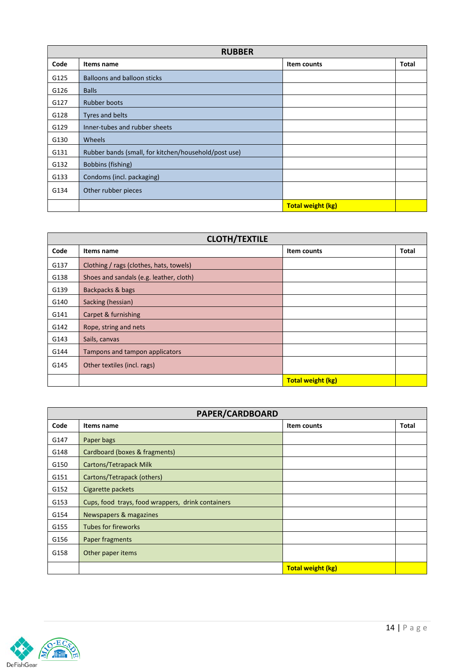|      | <b>RUBBER</b>                                        |                          |              |  |  |
|------|------------------------------------------------------|--------------------------|--------------|--|--|
| Code | Items name                                           | Item counts              | <b>Total</b> |  |  |
| G125 | <b>Balloons and balloon sticks</b>                   |                          |              |  |  |
| G126 | <b>Balls</b>                                         |                          |              |  |  |
| G127 | <b>Rubber boots</b>                                  |                          |              |  |  |
| G128 | Tyres and belts                                      |                          |              |  |  |
| G129 | Inner-tubes and rubber sheets                        |                          |              |  |  |
| G130 | Wheels                                               |                          |              |  |  |
| G131 | Rubber bands (small, for kitchen/household/post use) |                          |              |  |  |
| G132 | Bobbins (fishing)                                    |                          |              |  |  |
| G133 | Condoms (incl. packaging)                            |                          |              |  |  |
| G134 | Other rubber pieces                                  |                          |              |  |  |
|      |                                                      | <b>Total weight (kg)</b> |              |  |  |

|      | <b>CLOTH/TEXTILE</b>                    |                          |              |  |  |
|------|-----------------------------------------|--------------------------|--------------|--|--|
| Code | Items name                              | Item counts              | <b>Total</b> |  |  |
| G137 | Clothing / rags (clothes, hats, towels) |                          |              |  |  |
| G138 | Shoes and sandals (e.g. leather, cloth) |                          |              |  |  |
| G139 | Backpacks & bags                        |                          |              |  |  |
| G140 | Sacking (hessian)                       |                          |              |  |  |
| G141 | Carpet & furnishing                     |                          |              |  |  |
| G142 | Rope, string and nets                   |                          |              |  |  |
| G143 | Sails, canvas                           |                          |              |  |  |
| G144 | Tampons and tampon applicators          |                          |              |  |  |
| G145 | Other textiles (incl. rags)             |                          |              |  |  |
|      |                                         | <b>Total weight (kg)</b> |              |  |  |

| PAPER/CARDBOARD |                                                   |                          |              |
|-----------------|---------------------------------------------------|--------------------------|--------------|
| Code            | Items name                                        | Item counts              | <b>Total</b> |
| G147            | Paper bags                                        |                          |              |
| G148            | Cardboard (boxes & fragments)                     |                          |              |
| G150            | Cartons/Tetrapack Milk                            |                          |              |
| G151            | Cartons/Tetrapack (others)                        |                          |              |
| G152            | Cigarette packets                                 |                          |              |
| G153            | Cups, food trays, food wrappers, drink containers |                          |              |
| G154            | Newspapers & magazines                            |                          |              |
| G155            | <b>Tubes for fireworks</b>                        |                          |              |
| G156            | Paper fragments                                   |                          |              |
| G158            | Other paper items                                 |                          |              |
|                 |                                                   | <b>Total weight (kg)</b> |              |

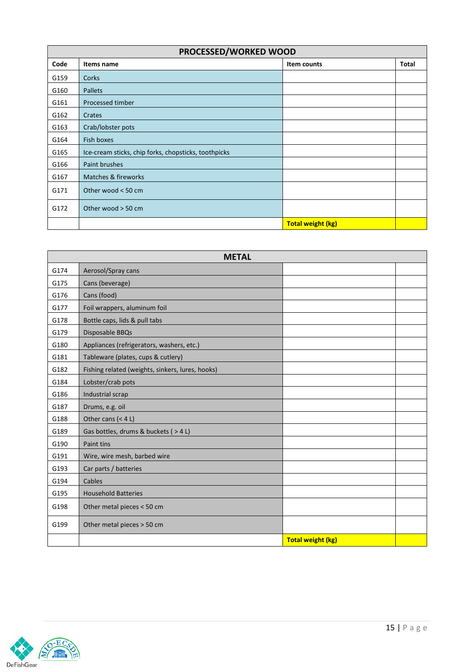| PROCESSED/WORKED WOOD |                                                      |                          |              |
|-----------------------|------------------------------------------------------|--------------------------|--------------|
| Code                  | Items name                                           | Item counts              | <b>Total</b> |
| G159                  | Corks                                                |                          |              |
| G160                  | <b>Pallets</b>                                       |                          |              |
| G161                  | Processed timber                                     |                          |              |
| G162                  | Crates                                               |                          |              |
| G163                  | Crab/lobster pots                                    |                          |              |
| G164                  | Fish boxes                                           |                          |              |
| G165                  | Ice-cream sticks, chip forks, chopsticks, toothpicks |                          |              |
| G166                  | Paint brushes                                        |                          |              |
| G167                  | Matches & fireworks                                  |                          |              |
| G171                  | Other wood < 50 cm                                   |                          |              |
| G172                  | Other wood $>$ 50 cm                                 |                          |              |
|                       |                                                      | <b>Total weight (kg)</b> |              |

| <b>METAL</b> |                                                  |                          |  |
|--------------|--------------------------------------------------|--------------------------|--|
| G174         | Aerosol/Spray cans                               |                          |  |
| G175         | Cans (beverage)                                  |                          |  |
| G176         | Cans (food)                                      |                          |  |
| G177         | Foil wrappers, aluminum foil                     |                          |  |
| G178         | Bottle caps, lids & pull tabs                    |                          |  |
| G179         | Disposable BBQs                                  |                          |  |
| G180         | Appliances (refrigerators, washers, etc.)        |                          |  |
| G181         | Tableware (plates, cups & cutlery)               |                          |  |
| G182         | Fishing related (weights, sinkers, lures, hooks) |                          |  |
| G184         | Lobster/crab pots                                |                          |  |
| G186         | Industrial scrap                                 |                          |  |
| G187         | Drums, e.g. oil                                  |                          |  |
| G188         | Other cans $(< 4 L)$                             |                          |  |
| G189         | Gas bottles, drums & buckets ( > 4 L)            |                          |  |
| G190         | Paint tins                                       |                          |  |
| G191         | Wire, wire mesh, barbed wire                     |                          |  |
| G193         | Car parts / batteries                            |                          |  |
| G194         | Cables                                           |                          |  |
| G195         | <b>Household Batteries</b>                       |                          |  |
| G198         | Other metal pieces < 50 cm                       |                          |  |
| G199         | Other metal pieces > 50 cm                       |                          |  |
|              |                                                  | <b>Total weight (kg)</b> |  |